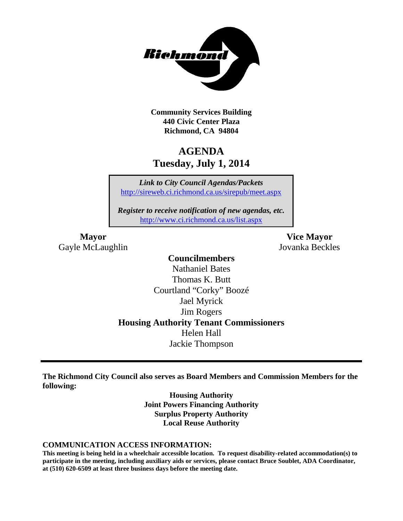

**Community Services Building 440 Civic Center Plaza Richmond, CA 94804**

# **AGENDA Tuesday, July 1, 2014**

*Link to City Council Agendas/Packets* <http://sireweb.ci.richmond.ca.us/sirepub/meet.aspx>

*Register to receive notification of new agendas, etc.* <http://www.ci.richmond.ca.us/list.aspx>

**Mayor Vice Mayor** Gayle McLaughlin Jovanka Beckles

#### **Councilmembers**

Nathaniel Bates Thomas K. Butt Courtland "Corky" Boozé Jael Myrick Jim Rogers **Housing Authority Tenant Commissioners** Helen Hall Jackie Thompson

**The Richmond City Council also serves as Board Members and Commission Members for the following:**

> **Housing Authority Joint Powers Financing Authority Surplus Property Authority Local Reuse Authority**

#### **COMMUNICATION ACCESS INFORMATION:**

**This meeting is being held in a wheelchair accessible location. To request disability-related accommodation(s) to participate in the meeting, including auxiliary aids or services, please contact Bruce Soublet, ADA Coordinator, at (510) 620-6509 at least three business days before the meeting date.**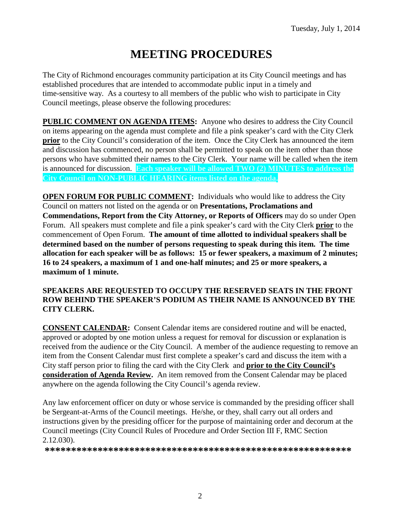# **MEETING PROCEDURES**

The City of Richmond encourages community participation at its City Council meetings and has established procedures that are intended to accommodate public input in a timely and time-sensitive way. As a courtesy to all members of the public who wish to participate in City Council meetings, please observe the following procedures:

**PUBLIC COMMENT ON AGENDA ITEMS:** Anyone who desires to address the City Council on items appearing on the agenda must complete and file a pink speaker's card with the City Clerk **prior** to the City Council's consideration of the item. Once the City Clerk has announced the item and discussion has commenced, no person shall be permitted to speak on the item other than those persons who have submitted their names to the City Clerk. Your name will be called when the item is announced for discussion. **Each speaker will be allowed TWO (2) MINUTES to address the City Council on NON-PUBLIC HEARING items listed on the agenda.**

**OPEN FORUM FOR PUBLIC COMMENT:** Individuals who would like to address the City Council on matters not listed on the agenda or on **Presentations, Proclamations and Commendations, Report from the City Attorney, or Reports of Officers** may do so under Open Forum. All speakers must complete and file a pink speaker's card with the City Clerk **prior** to the commencement of Open Forum. **The amount of time allotted to individual speakers shall be determined based on the number of persons requesting to speak during this item. The time allocation for each speaker will be as follows: 15 or fewer speakers, a maximum of 2 minutes; 16 to 24 speakers, a maximum of 1 and one-half minutes; and 25 or more speakers, a maximum of 1 minute.**

#### **SPEAKERS ARE REQUESTED TO OCCUPY THE RESERVED SEATS IN THE FRONT ROW BEHIND THE SPEAKER'S PODIUM AS THEIR NAME IS ANNOUNCED BY THE CITY CLERK.**

**CONSENT CALENDAR:** Consent Calendar items are considered routine and will be enacted, approved or adopted by one motion unless a request for removal for discussion or explanation is received from the audience or the City Council. A member of the audience requesting to remove an item from the Consent Calendar must first complete a speaker's card and discuss the item with a City staff person prior to filing the card with the City Clerk and **prior to the City Council's consideration of Agenda Review.** An item removed from the Consent Calendar may be placed anywhere on the agenda following the City Council's agenda review.

Any law enforcement officer on duty or whose service is commanded by the presiding officer shall be Sergeant-at-Arms of the Council meetings. He/she, or they, shall carry out all orders and instructions given by the presiding officer for the purpose of maintaining order and decorum at the Council meetings (City Council Rules of Procedure and Order Section III F, RMC Section 2.12.030).

**\*\*\*\*\*\*\*\*\*\*\*\*\*\*\*\*\*\*\*\*\*\*\*\*\*\*\*\*\*\*\*\*\*\*\*\*\*\*\*\*\*\*\*\*\*\*\*\*\*\*\*\*\*\*\*\*\*\***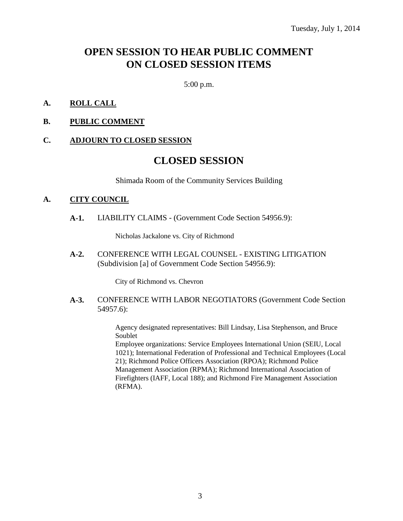# **OPEN SESSION TO HEAR PUBLIC COMMENT ON CLOSED SESSION ITEMS**

5:00 p.m.

- **A. ROLL CALL**
- **B. PUBLIC COMMENT**

#### **C. ADJOURN TO CLOSED SESSION**

## **CLOSED SESSION**

Shimada Room of the Community Services Building

#### **A. CITY COUNCIL**

**A-1.** LIABILITY CLAIMS - (Government Code Section 54956.9):

Nicholas Jackalone vs. City of Richmond

**A-2.** CONFERENCE WITH LEGAL COUNSEL - EXISTING LITIGATION (Subdivision [a] of Government Code Section 54956.9):

City of Richmond vs. Chevron

**A-3.** CONFERENCE WITH LABOR NEGOTIATORS (Government Code Section 54957.6):

> Agency designated representatives: Bill Lindsay, Lisa Stephenson, and Bruce Soublet

Employee organizations: Service Employees International Union (SEIU, Local 1021); International Federation of Professional and Technical Employees (Local 21); Richmond Police Officers Association (RPOA); Richmond Police Management Association (RPMA); Richmond International Association of Firefighters (IAFF, Local 188); and Richmond Fire Management Association (RFMA).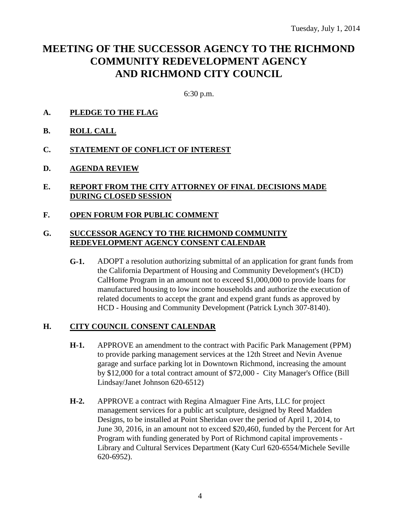# **MEETING OF THE SUCCESSOR AGENCY TO THE RICHMOND COMMUNITY REDEVELOPMENT AGENCY AND RICHMOND CITY COUNCIL**

6:30 p.m.

- **A. PLEDGE TO THE FLAG**
- **B. ROLL CALL**
- **C. STATEMENT OF CONFLICT OF INTEREST**
- **D. AGENDA REVIEW**
- **E. REPORT FROM THE CITY ATTORNEY OF FINAL DECISIONS MADE DURING CLOSED SESSION**
- **F. OPEN FORUM FOR PUBLIC COMMENT**

#### **G. SUCCESSOR AGENCY TO THE RICHMOND COMMUNITY REDEVELOPMENT AGENCY CONSENT CALENDAR**

**G-1.** ADOPT a resolution authorizing submittal of an application for grant funds from the California Department of Housing and Community Development's (HCD) CalHome Program in an amount not to exceed \$1,000,000 to provide loans for manufactured housing to low income households and authorize the execution of related documents to accept the grant and expend grant funds as approved by HCD - Housing and Community Development (Patrick Lynch 307-8140).

#### **H. CITY COUNCIL CONSENT CALENDAR**

- **H-1.** APPROVE an amendment to the contract with Pacific Park Management (PPM) to provide parking management services at the 12th Street and Nevin Avenue garage and surface parking lot in Downtown Richmond, increasing the amount by \$12,000 for a total contract amount of \$72,000 - City Manager's Office (Bill Lindsay/Janet Johnson 620-6512)
- **H-2.** APPROVE a contract with Regina Almaguer Fine Arts, LLC for project management services for a public art sculpture, designed by Reed Madden Designs, to be installed at Point Sheridan over the period of April 1, 2014, to June 30, 2016, in an amount not to exceed \$20,460, funded by the Percent for Art Program with funding generated by Port of Richmond capital improvements - Library and Cultural Services Department (Katy Curl 620-6554/Michele Seville 620-6952).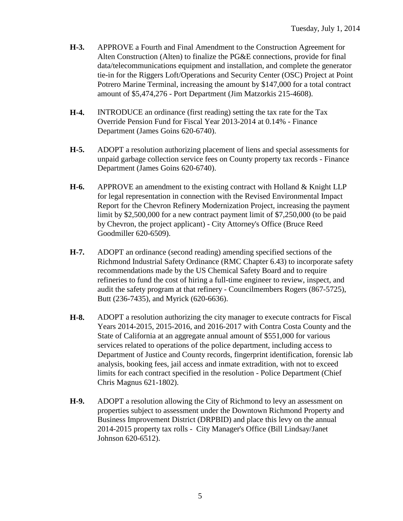- **H-3.** APPROVE a Fourth and Final Amendment to the Construction Agreement for Alten Construction (Alten) to finalize the PG&E connections, provide for final data/telecommunications equipment and installation, and complete the generator tie-in for the Riggers Loft/Operations and Security Center (OSC) Project at Point Potrero Marine Terminal, increasing the amount by \$147,000 for a total contract amount of \$5,474,276 - Port Department (Jim Matzorkis 215-4608).
- **H-4.** INTRODUCE an ordinance (first reading) setting the tax rate for the Tax Override Pension Fund for Fiscal Year 2013-2014 at 0.14% - Finance Department (James Goins 620-6740).
- **H-5.** ADOPT a resolution authorizing placement of liens and special assessments for unpaid garbage collection service fees on County property tax records - Finance Department (James Goins 620-6740).
- **H-6.** APPROVE an amendment to the existing contract with Holland & Knight LLP for legal representation in connection with the Revised Environmental Impact Report for the Chevron Refinery Modernization Project, increasing the payment limit by \$2,500,000 for a new contract payment limit of \$7,250,000 (to be paid by Chevron, the project applicant) - City Attorney's Office (Bruce Reed Goodmiller 620-6509).
- **H-7.** ADOPT an ordinance (second reading) amending specified sections of the Richmond Industrial Safety Ordinance (RMC Chapter 6.43) to incorporate safety recommendations made by the US Chemical Safety Board and to require refineries to fund the cost of hiring a full-time engineer to review, inspect, and audit the safety program at that refinery - Councilmembers Rogers (867-5725), Butt (236-7435), and Myrick (620-6636).
- **H-8.** ADOPT a resolution authorizing the city manager to execute contracts for Fiscal Years 2014-2015, 2015-2016, and 2016-2017 with Contra Costa County and the State of California at an aggregate annual amount of \$551,000 for various services related to operations of the police department, including access to Department of Justice and County records, fingerprint identification, forensic lab analysis, booking fees, jail access and inmate extradition, with not to exceed limits for each contract specified in the resolution - Police Department (Chief Chris Magnus 621-1802).
- **H-9.** ADOPT a resolution allowing the City of Richmond to levy an assessment on properties subject to assessment under the Downtown Richmond Property and Business Improvement District (DRPBID) and place this levy on the annual 2014-2015 property tax rolls - City Manager's Office (Bill Lindsay/Janet Johnson 620-6512).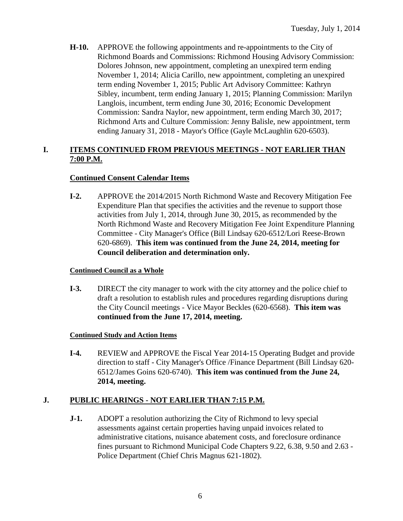**H-10.** APPROVE the following appointments and re-appointments to the City of Richmond Boards and Commissions: Richmond Housing Advisory Commission: Dolores Johnson, new appointment, completing an unexpired term ending November 1, 2014; Alicia Carillo, new appointment, completing an unexpired term ending November 1, 2015; Public Art Advisory Committee: Kathryn Sibley, incumbent, term ending January 1, 2015; Planning Commission: Marilyn Langlois, incumbent, term ending June 30, 2016; Economic Development Commission: Sandra Naylor, new appointment, term ending March 30, 2017; Richmond Arts and Culture Commission: Jenny Balisle, new appointment, term ending January 31, 2018 - Mayor's Office (Gayle McLaughlin 620-6503).

#### **I. ITEMS CONTINUED FROM PREVIOUS MEETINGS - NOT EARLIER THAN 7:00 P.M.**

#### **Continued Consent Calendar Items**

**I-2.** APPROVE the 2014/2015 North Richmond Waste and Recovery Mitigation Fee Expenditure Plan that specifies the activities and the revenue to support those activities from July 1, 2014, through June 30, 2015, as recommended by the North Richmond Waste and Recovery Mitigation Fee Joint Expenditure Planning Committee - City Manager's Office (Bill Lindsay 620-6512/Lori Reese-Brown 620-6869). **This item was continued from the June 24, 2014, meeting for Council deliberation and determination only.**

#### **Continued Council as a Whole**

**I-3.** DIRECT the city manager to work with the city attorney and the police chief to draft a resolution to establish rules and procedures regarding disruptions during the City Council meetings - Vice Mayor Beckles (620-6568). **This item was continued from the June 17, 2014, meeting.**

#### **Continued Study and Action Items**

**I-4.** REVIEW and APPROVE the Fiscal Year 2014-15 Operating Budget and provide direction to staff - City Manager's Office /Finance Department (Bill Lindsay 620- 6512/James Goins 620-6740). **This item was continued from the June 24, 2014, meeting.**

### **J. PUBLIC HEARINGS - NOT EARLIER THAN 7:15 P.M.**

**J-1.** ADOPT a resolution authorizing the City of Richmond to levy special assessments against certain properties having unpaid invoices related to administrative citations, nuisance abatement costs, and foreclosure ordinance fines pursuant to Richmond Municipal Code Chapters 9.22, 6.38, 9.50 and 2.63 - Police Department (Chief Chris Magnus 621-1802).